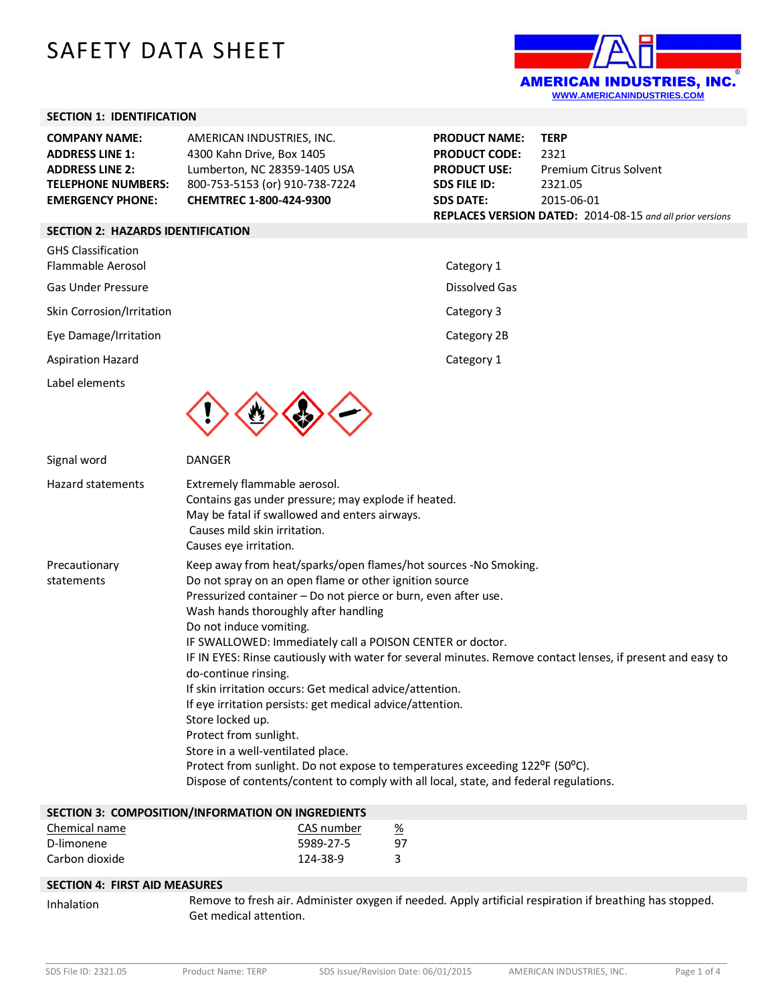# SAFETY DATA SHEET



### **SECTION 1: IDENTIFICATION**

| <b>COMPANY NAME:</b><br><b>ADDRESS LINE 1:</b><br><b>ADDRESS LINE 2:</b><br><b>TELEPHONE NUMBERS:</b><br><b>EMERGENCY PHONE:</b> | AMERICAN INDUSTRIES, INC.<br>4300 Kahn Drive, Box 1405<br>Lumberton, NC 28359-1405 USA<br>800-753-5153 (or) 910-738-7224<br>CHEMTREC 1-800-424-9300                                                                                                                                                                                                                                                                                                                                                                                                                                                                                      | <b>PRODUCT NAME:</b><br><b>PRODUCT CODE:</b><br><b>PRODUCT USE:</b><br><b>SDS FILE ID:</b><br><b>SDS DATE:</b> | <b>TERP</b><br>2321<br><b>Premium Citrus Solvent</b><br>2321.05<br>2015-06-01 |
|----------------------------------------------------------------------------------------------------------------------------------|------------------------------------------------------------------------------------------------------------------------------------------------------------------------------------------------------------------------------------------------------------------------------------------------------------------------------------------------------------------------------------------------------------------------------------------------------------------------------------------------------------------------------------------------------------------------------------------------------------------------------------------|----------------------------------------------------------------------------------------------------------------|-------------------------------------------------------------------------------|
|                                                                                                                                  |                                                                                                                                                                                                                                                                                                                                                                                                                                                                                                                                                                                                                                          |                                                                                                                | REPLACES VERSION DATED: 2014-08-15 and all prior versions                     |
| <b>SECTION 2: HAZARDS IDENTIFICATION</b>                                                                                         |                                                                                                                                                                                                                                                                                                                                                                                                                                                                                                                                                                                                                                          |                                                                                                                |                                                                               |
| <b>GHS Classification</b><br>Flammable Aerosol                                                                                   |                                                                                                                                                                                                                                                                                                                                                                                                                                                                                                                                                                                                                                          | Category 1                                                                                                     |                                                                               |
| <b>Gas Under Pressure</b>                                                                                                        |                                                                                                                                                                                                                                                                                                                                                                                                                                                                                                                                                                                                                                          | <b>Dissolved Gas</b>                                                                                           |                                                                               |
| Skin Corrosion/Irritation                                                                                                        |                                                                                                                                                                                                                                                                                                                                                                                                                                                                                                                                                                                                                                          | Category 3                                                                                                     |                                                                               |
| Eye Damage/Irritation                                                                                                            |                                                                                                                                                                                                                                                                                                                                                                                                                                                                                                                                                                                                                                          | Category 2B                                                                                                    |                                                                               |
| <b>Aspiration Hazard</b>                                                                                                         |                                                                                                                                                                                                                                                                                                                                                                                                                                                                                                                                                                                                                                          | Category 1                                                                                                     |                                                                               |
| Label elements                                                                                                                   |                                                                                                                                                                                                                                                                                                                                                                                                                                                                                                                                                                                                                                          |                                                                                                                |                                                                               |
| Signal word                                                                                                                      | <b>DANGER</b>                                                                                                                                                                                                                                                                                                                                                                                                                                                                                                                                                                                                                            |                                                                                                                |                                                                               |
| <b>Hazard statements</b>                                                                                                         | Extremely flammable aerosol.<br>Contains gas under pressure; may explode if heated.<br>May be fatal if swallowed and enters airways.<br>Causes mild skin irritation.<br>Causes eye irritation.                                                                                                                                                                                                                                                                                                                                                                                                                                           |                                                                                                                |                                                                               |
| Precautionary<br>statements                                                                                                      | Keep away from heat/sparks/open flames/hot sources -No Smoking.<br>Do not spray on an open flame or other ignition source<br>Pressurized container - Do not pierce or burn, even after use.<br>Wash hands thoroughly after handling<br>Do not induce vomiting.<br>IF SWALLOWED: Immediately call a POISON CENTER or doctor.<br>IF IN EYES: Rinse cautiously with water for several minutes. Remove contact lenses, if present and easy to<br>do-continue rinsing.<br>If skin irritation occurs: Get medical advice/attention.<br>If eye irritation persists: get medical advice/attention.<br>Store locked up.<br>Protect from sunlight. |                                                                                                                |                                                                               |

Store in a well-ventilated place. Protect from sunlight. Do not expose to temperatures exceeding 122°F (50°C).

Dispose of contents/content to comply with all local, state, and federal regulations.

| SECTION 3: COMPOSITION/INFORMATION ON INGREDIENTS |            |    |
|---------------------------------------------------|------------|----|
| Chemical name                                     | CAS number | %  |
| D-limonene                                        | 5989-27-5  | 97 |
| Carbon dioxide                                    | 124-38-9   |    |

#### **SECTION 4: FIRST AID MEASURES**

Inhalation Remove to fresh air. Administer oxygen if needed. Apply artificial respiration if breathing has stopped. Get medical attention.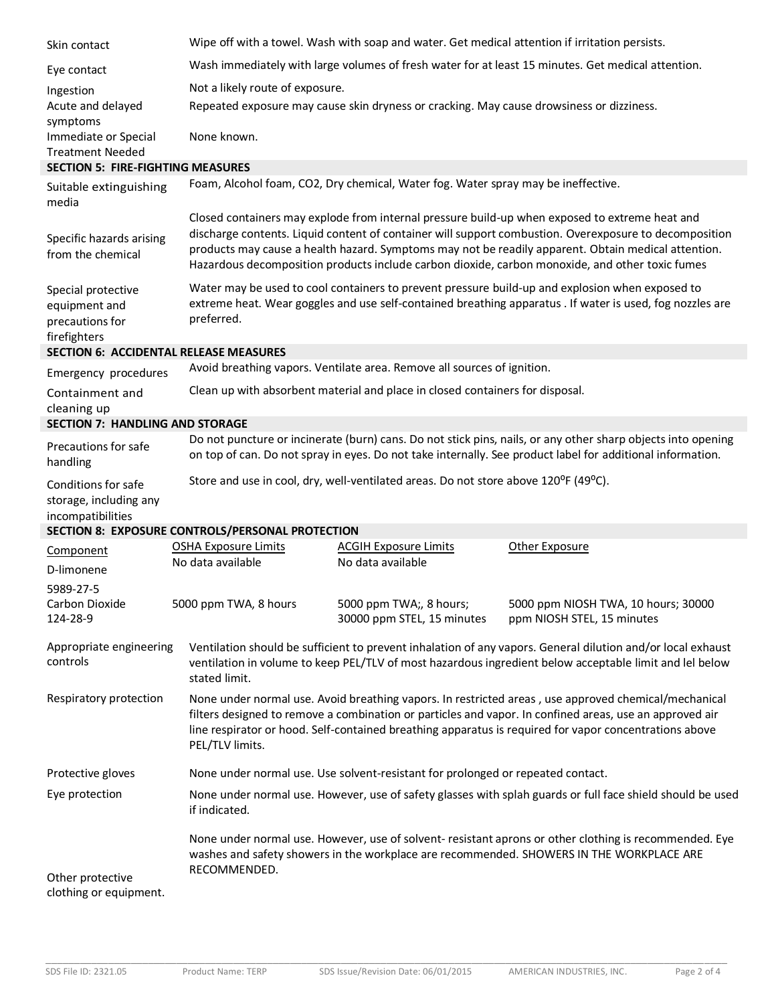| Skin contact                                                             |                                                                                                                                                                                                                                                                                                                                                                                                                    | Wipe off with a towel. Wash with soap and water. Get medical attention if irritation persists. |                                                                                                              |  |
|--------------------------------------------------------------------------|--------------------------------------------------------------------------------------------------------------------------------------------------------------------------------------------------------------------------------------------------------------------------------------------------------------------------------------------------------------------------------------------------------------------|------------------------------------------------------------------------------------------------|--------------------------------------------------------------------------------------------------------------|--|
| Eye contact                                                              | Wash immediately with large volumes of fresh water for at least 15 minutes. Get medical attention.                                                                                                                                                                                                                                                                                                                 |                                                                                                |                                                                                                              |  |
| Ingestion                                                                | Not a likely route of exposure.                                                                                                                                                                                                                                                                                                                                                                                    |                                                                                                |                                                                                                              |  |
| Acute and delayed<br>symptoms                                            | Repeated exposure may cause skin dryness or cracking. May cause drowsiness or dizziness.                                                                                                                                                                                                                                                                                                                           |                                                                                                |                                                                                                              |  |
| Immediate or Special<br><b>Treatment Needed</b>                          | None known.                                                                                                                                                                                                                                                                                                                                                                                                        |                                                                                                |                                                                                                              |  |
| <b>SECTION 5: FIRE-FIGHTING MEASURES</b>                                 |                                                                                                                                                                                                                                                                                                                                                                                                                    |                                                                                                |                                                                                                              |  |
| Suitable extinguishing<br>media                                          | Foam, Alcohol foam, CO2, Dry chemical, Water fog. Water spray may be ineffective.                                                                                                                                                                                                                                                                                                                                  |                                                                                                |                                                                                                              |  |
| Specific hazards arising<br>from the chemical                            | Closed containers may explode from internal pressure build-up when exposed to extreme heat and<br>discharge contents. Liquid content of container will support combustion. Overexposure to decomposition<br>products may cause a health hazard. Symptoms may not be readily apparent. Obtain medical attention.<br>Hazardous decomposition products include carbon dioxide, carbon monoxide, and other toxic fumes |                                                                                                |                                                                                                              |  |
| Special protective<br>equipment and<br>precautions for<br>firefighters   | Water may be used to cool containers to prevent pressure build-up and explosion when exposed to<br>extreme heat. Wear goggles and use self-contained breathing apparatus . If water is used, fog nozzles are<br>preferred.                                                                                                                                                                                         |                                                                                                |                                                                                                              |  |
| <b>SECTION 6: ACCIDENTAL RELEASE MEASURES</b>                            |                                                                                                                                                                                                                                                                                                                                                                                                                    |                                                                                                |                                                                                                              |  |
| Emergency procedures                                                     | Avoid breathing vapors. Ventilate area. Remove all sources of ignition.                                                                                                                                                                                                                                                                                                                                            |                                                                                                |                                                                                                              |  |
| Containment and<br>cleaning up<br><b>SECTION 7: HANDLING AND STORAGE</b> | Clean up with absorbent material and place in closed containers for disposal.                                                                                                                                                                                                                                                                                                                                      |                                                                                                |                                                                                                              |  |
|                                                                          |                                                                                                                                                                                                                                                                                                                                                                                                                    |                                                                                                | Do not puncture or incinerate (burn) cans. Do not stick pins, nails, or any other sharp objects into opening |  |
| Precautions for safe<br>handling                                         | on top of can. Do not spray in eyes. Do not take internally. See product label for additional information.                                                                                                                                                                                                                                                                                                         |                                                                                                |                                                                                                              |  |
| Conditions for safe<br>storage, including any<br>incompatibilities       | Store and use in cool, dry, well-ventilated areas. Do not store above 120°F (49°C).                                                                                                                                                                                                                                                                                                                                |                                                                                                |                                                                                                              |  |
|                                                                          | SECTION 8: EXPOSURE CONTROLS/PERSONAL PROTECTION                                                                                                                                                                                                                                                                                                                                                                   |                                                                                                |                                                                                                              |  |
| Component                                                                | <b>OSHA Exposure Limits</b>                                                                                                                                                                                                                                                                                                                                                                                        | <b>ACGIH Exposure Limits</b>                                                                   | Other Exposure                                                                                               |  |
| D-limonene                                                               | No data available                                                                                                                                                                                                                                                                                                                                                                                                  | No data available                                                                              |                                                                                                              |  |
| 5989-27-5                                                                |                                                                                                                                                                                                                                                                                                                                                                                                                    |                                                                                                |                                                                                                              |  |
| Carbon Dioxide<br>124-28-9                                               | 5000 ppm TWA, 8 hours                                                                                                                                                                                                                                                                                                                                                                                              | 5000 ppm TWA;, 8 hours;<br>30000 ppm STEL, 15 minutes                                          | 5000 ppm NIOSH TWA, 10 hours; 30000<br>ppm NIOSH STEL, 15 minutes                                            |  |
| Appropriate engineering<br>controls                                      | Ventilation should be sufficient to prevent inhalation of any vapors. General dilution and/or local exhaust<br>ventilation in volume to keep PEL/TLV of most hazardous ingredient below acceptable limit and lel below<br>stated limit.                                                                                                                                                                            |                                                                                                |                                                                                                              |  |
| Respiratory protection                                                   | None under normal use. Avoid breathing vapors. In restricted areas, use approved chemical/mechanical<br>filters designed to remove a combination or particles and vapor. In confined areas, use an approved air<br>line respirator or hood. Self-contained breathing apparatus is required for vapor concentrations above<br>PEL/TLV limits.                                                                       |                                                                                                |                                                                                                              |  |
| Protective gloves                                                        | None under normal use. Use solvent-resistant for prolonged or repeated contact.                                                                                                                                                                                                                                                                                                                                    |                                                                                                |                                                                                                              |  |
| Eye protection                                                           | None under normal use. However, use of safety glasses with splah guards or full face shield should be used<br>if indicated.                                                                                                                                                                                                                                                                                        |                                                                                                |                                                                                                              |  |
| Other protective<br>clothing or equipment.                               | None under normal use. However, use of solvent- resistant aprons or other clothing is recommended. Eye<br>washes and safety showers in the workplace are recommended. SHOWERS IN THE WORKPLACE ARE<br>RECOMMENDED.                                                                                                                                                                                                 |                                                                                                |                                                                                                              |  |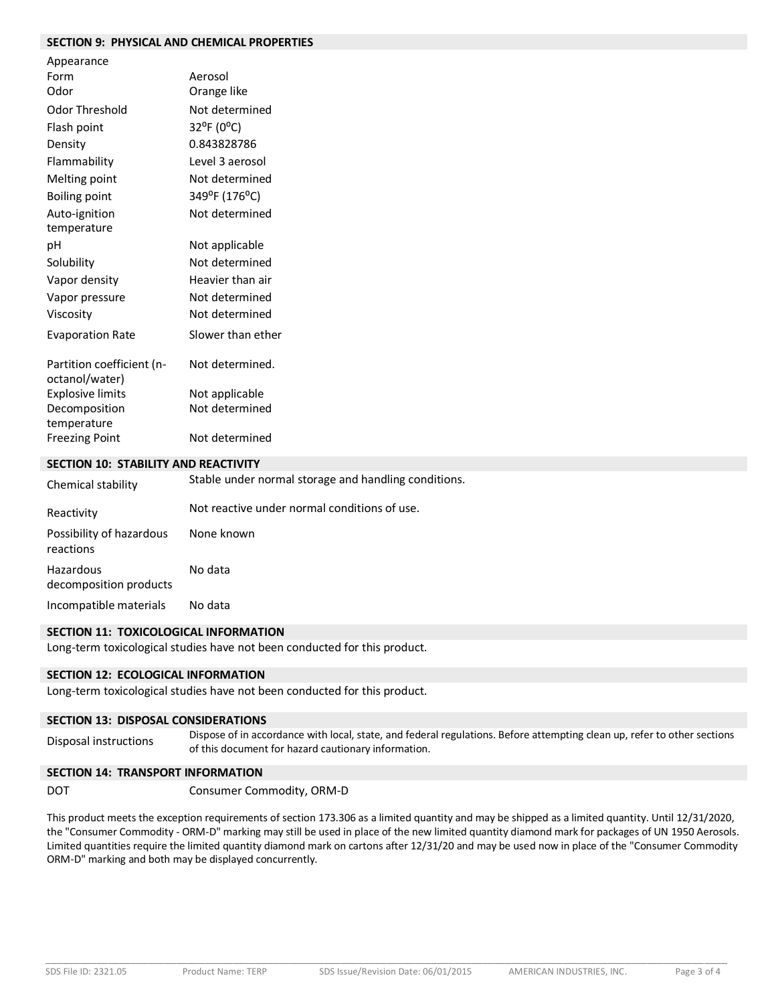## **SECTION 9: PHYSICAL AND CHEMICAL PROPERTIES**

| Appearance                                  |                   |
|---------------------------------------------|-------------------|
| Form                                        | Aerosol           |
| Odor                                        | Orange like       |
| Odor Threshold                              | Not determined    |
| Flash point                                 | 32°F (0°C)        |
| Density                                     | 0.843828786       |
| Flammability                                | Level 3 aerosol   |
| Melting point                               | Not determined    |
| Boiling point                               | 349°F (176°C)     |
| Auto-ignition                               | Not determined    |
| temperature                                 |                   |
| рH                                          | Not applicable    |
| Solubility                                  | Not determined    |
| Vapor density                               | Heavier than air  |
| Vapor pressure                              | Not determined    |
| Viscosity                                   | Not determined    |
| <b>Evaporation Rate</b>                     | Slower than ether |
| Partition coefficient (n-<br>octanol/water) | Not determined.   |
| <b>Explosive limits</b>                     | Not applicable    |
| Decomposition                               | Not determined    |
| temperature                                 |                   |
| <b>Freezing Point</b>                       | Not determined    |

#### **SECTION 10: STABILITY AND REACTIVITY**

| Chemical stability                    | Stable under normal storage and handling conditions. |
|---------------------------------------|------------------------------------------------------|
| Reactivity                            | Not reactive under normal conditions of use.         |
| Possibility of hazardous<br>reactions | None known                                           |
| Hazardous<br>decomposition products   | No data                                              |
| Incompatible materials                | No data                                              |

## **SECTION 11: TOXICOLOGICAL INFORMATION**

Long-term toxicological studies have not been conducted for this product.

#### **SECTION 12: ECOLOGICAL INFORMATION**

Long-term toxicological studies have not been conducted for this product.

#### **SECTION 13: DISPOSAL CONSIDERATIONS**

Disposal instructions Dispose of in accordance with local, state, and federal regulations. Before attempting clean up, refer to other sections of this document for hazard cautionary information.

## **SECTION 14: TRANSPORT INFORMATION**

DOT Consumer Commodity, ORM-D

This product meets the exception requirements of section 173.306 as a limited quantity and may be shipped as a limited quantity. Until 12/31/2020, the "Consumer Commodity - ORM-D" marking may still be used in place of the new limited quantity diamond mark for packages of UN 1950 Aerosols. Limited quantities require the limited quantity diamond mark on cartons after 12/31/20 and may be used now in place of the "Consumer Commodity ORM-D" marking and both may be displayed concurrently.